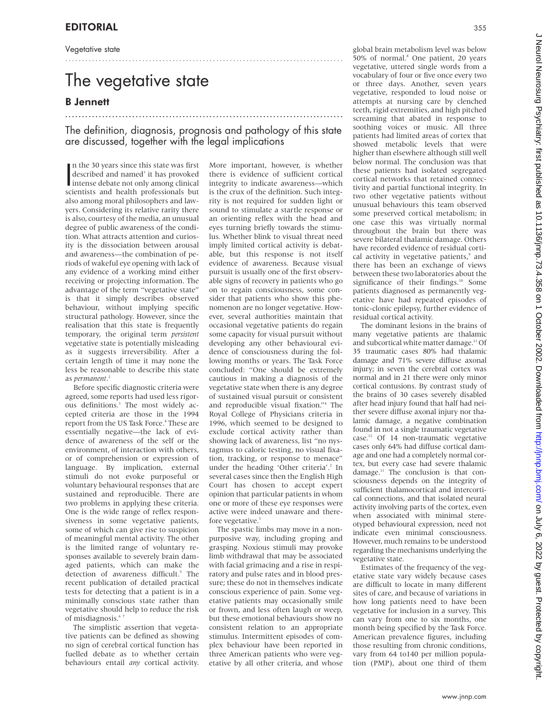Vegetative state

# The vegetative state

## B Jennett

## The definition, diagnosis, prognosis and pathology of this state are discussed, together with the legal implications

...................................................................................

...................................................................................

In the 30 years since this state was first<br>described and named it has provoked<br>intense debate not only among clinical<br>scientists, and health professionals but n the 30 years since this state was first described and named<sup>1</sup> it has provoked scientists and health professionals but also among moral philosophers and lawyers. Considering its relative rarity there is also, courtesy of the media, an unusual degree of public awareness of the condition. What attracts attention and curiosity is the dissociation between arousal and awareness—the combination of periods of wakeful eye opening with lack of any evidence of a working mind either receiving or projecting information. The advantage of the term "vegetative state" is that it simply describes observed behaviour, without implying specific structural pathology. However, since the realisation that this state is frequently temporary, the original term *persistent* vegetative state is potentially misleading as it suggests irreversibility. After a certain length of time it may none the less be reasonable to describe this state as *permanent*. 2

Before specific diagnostic criteria were agreed, some reports had used less rigorous definitions.3 The most widely accepted criteria are those in the 1994 report from the US Task Force.<sup>4</sup> These are essentially negative—the lack of evidence of awareness of the self or the environment, of interaction with others, or of comprehension or expression of language. By implication, external stimuli do not evoke purposeful or voluntary behavioural responses that are sustained and reproducible. There are two problems in applying these criteria. One is the wide range of reflex responsiveness in some vegetative patients, some of which can give rise to suspicion of meaningful mental activity. The other is the limited range of voluntary responses available to severely brain damaged patients, which can make the detection of awareness difficult.<sup>5</sup> The recent publication of detailed practical tests for detecting that a patient is in a minimally conscious state rather than vegetative should help to reduce the risk of misdiagnosis.<sup>67</sup>

The simplistic assertion that vegetative patients can be defined as showing no sign of cerebral cortical function has fuelled debate as to whether certain behaviours entail *any* cortical activity. More important, however, is whether there is evidence of sufficient cortical integrity to indicate awareness—which is the crux of the definition. Such integrity is not required for sudden light or sound to stimulate a startle response or an orienting reflex with the head and eyes turning briefly towards the stimulus. Whether blink to visual threat need imply limited cortical activity is debatable, but this response is not itself evidence of awareness. Because visual pursuit is usually one of the first observable signs of recovery in patients who go on to regain consciousness, some consider that patients who show this phenomenon are no longer vegetative. However, several authorities maintain that occasional vegetative patients do regain some capacity for visual pursuit without developing any other behavioural evidence of consciousness during the following months or years. The Task Force concluded: "One should be extremely cautious in making a diagnosis of the vegetative state when there is any degree of sustained visual pursuit or consistent and reproducible visual fixation."4 The Royal College of Physicians criteria in 1996, which seemed to be designed to exclude cortical activity rather than showing lack of awareness, list "no nystagmus to caloric testing, no visual fixation, tracking, or response to menace" under the heading 'Other criteria'.<sup>2</sup> In several cases since then the English High Court has chosen to accept expert opinion that particular patients in whom one or more of these eye responses were active were indeed unaware and therefore vegetative.<sup>3</sup>

The spastic limbs may move in a nonpurposive way, including groping and grasping. Noxious stimuli may provoke limb withdrawal that may be associated with facial grimacing and a rise in respiratory and pulse rates and in blood pressure; these do not in themselves indicate conscious experience of pain. Some vegetative patients may occasionally smile or frown, and less often laugh or weep, but these emotional behaviours show no consistent relation to an appropriate stimulus. Intermittent episodes of complex behaviour have been reported in three American patients who were vegetative by all other criteria, and whose

global brain metabolism level was below 50% of normal.<sup>8</sup> One patient, 20 years vegetative, uttered single words from a vocabulary of four or five once every two or three days. Another, seven years vegetative, responded to loud noise or attempts at nursing care by clenched teeth, rigid extremities, and high pitched screaming that abated in response to soothing voices or music. All three patients had limited areas of cortex that showed metabolic levels that were higher than elsewhere although still well below normal. The conclusion was that these patients had isolated segregated cortical networks that retained connectivity and partial functional integrity. In two other vegetative patients without unusual behaviours this team observed some preserved cortical metabolism; in one case this was virtually normal throughout the brain but there was severe bilateral thalamic damage. Others have recorded evidence of residual cortical activity in vegetative patients,<sup>9</sup> and there has been an exchange of views between these two laboratories about the significance of their findings.<sup>10</sup> Some patients diagnosed as permanently vegetative have had repeated episodes of tonic-clonic epilepsy, further evidence of residual cortical activity.

The dominant lesions in the brains of many vegetative patients are thalamic and subcortical white matter damage.<sup>11</sup> Of 35 traumatic cases 80% had thalamic damage and 71% severe diffuse axonal injury; in seven the cerebral cortex was normal and in 21 there were only minor cortical contusions. By contrast study of the brains of 30 cases severely disabled after head injury found that half had neither severe diffuse axonal injury nor thalamic damage, a negative combination found in not a single traumatic vegetative case. $12$  Of 14 non-traumatic vegetative cases only 64% had diffuse cortical damage and one had a completely normal cortex, but every case had severe thalamic damage.<sup>11</sup> The conclusion is that consciousness depends on the integrity of sufficient thalamocortical and intercortical connections, and that isolated neural activity involving parts of the cortex, even when associated with minimal stereotyped behavioural expression, need not indicate even minimal consciousness. However, much remains to be understood regarding the mechanisms underlying the vegetative state.

Estimates of the frequency of the vegetative state vary widely because cases are difficult to locate in many different sites of care, and because of variations in how long patients need to have been vegetative for inclusion in a survey. This can vary from one to six months, one month being specified by the Task Force. American prevalence figures, including those resulting from chronic conditions, vary from 64 to140 per million population (PMP), about one third of them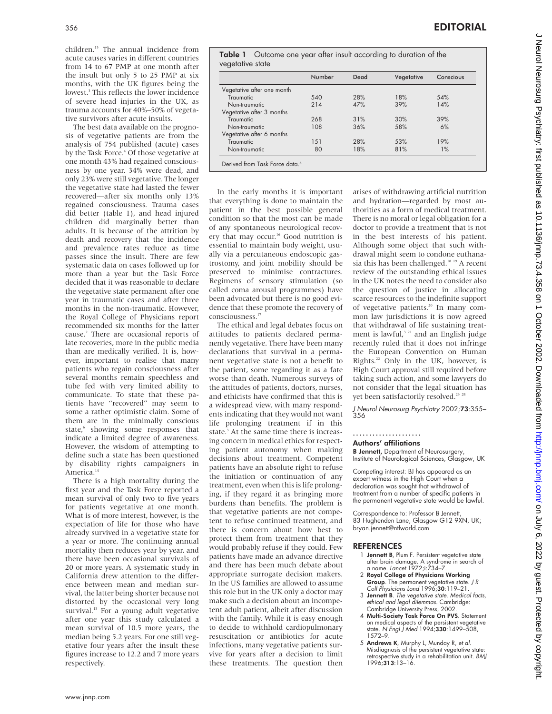children.13 The annual incidence from acute causes varies in different countries from 14 to 67 PMP at one month after the insult but only 5 to 25 PMP at six months, with the UK figures being the lowest.<sup>3</sup> This reflects the lower incidence of severe head injuries in the UK, as trauma accounts for 40%–50% of vegetative survivors after acute insults.

The best data available on the prognosis of vegetative patients are from the analysis of 754 published (acute) cases by the Task Force.<sup>4</sup> Of those vegetative at one month 43% had regained consciousness by one year, 34% were dead, and only 23% were still vegetative. The longer the vegetative state had lasted the fewer recovered—after six months only 13% regained consciousness. Trauma cases did better (table 1), and head injured children did marginally better than adults. It is because of the attrition by death and recovery that the incidence and prevalence rates reduce as time passes since the insult. There are few systematic data on cases followed up for more than a year but the Task Force decided that it was reasonable to declare the vegetative state permanent after one year in traumatic cases and after three months in the non-traumatic. However, the Royal College of Physicians report recommended six months for the latter cause.<sup>2</sup> There are occasional reports of late recoveries, more in the public media than are medically verified. It is, however, important to realise that many patients who regain consciousness after several months remain speechless and tube fed with very limited ability to communicate. To state that these patients have "recovered" may seem to some a rather optimistic claim. Some of them are in the minimally conscious state,<sup>6</sup> showing some responses that indicate a limited degree of awareness. However, the wisdom of attempting to define such a state has been questioned by disability rights campaigners in America.<sup>14</sup>

There is a high mortality during the first year and the Task Force reported a mean survival of only two to five years for patients vegetative at one month. What is of more interest, however, is the expectation of life for those who have already survived in a vegetative state for a year or more. The continuing annual mortality then reduces year by year, and there have been occasional survivals of 20 or more years. A systematic study in California drew attention to the difference between mean and median survival, the latter being shorter because not distorted by the occasional very long survival.<sup>15</sup> For a young adult vegetative after one year this study calculated a mean survival of 10.5 more years, the median being 5.2 years. For one still vegetative four years after the insult these figures increase to 12.2 and 7 more years respectively.

Table 1 Outcome one year after insult according to duration of the vegetative state

|                            | Number | Dead | Vegetative | Conscious |
|----------------------------|--------|------|------------|-----------|
| Vegetative after one month |        |      |            |           |
| Traumatic                  | 540    | 28%  | 18%        | 54%       |
| Non-traumatic              | 214    | 47%  | 39%        | 14%       |
| Vegetative after 3 months  |        |      |            |           |
| Traumatic                  | 268    | 31%  | 30%        | 39%       |
| Non-traumatic              | 108    | 36%  | 58%        | 6%        |
| Vegetative after 6 months  |        |      |            |           |
| <b>Traumatic</b>           | 151    | 28%  | 53%        | 19%       |
| Non-traumatic              | 80     | 18%  | 81%        | $1\%$     |

In the early months it is important that everything is done to maintain the patient in the best possible general condition so that the most can be made of any spontaneous neurological recovery that may occur.<sup>16</sup> Good nutrition is essential to maintain body weight, usually via a percutaneous endoscopic gastrostomy, and joint mobility should be preserved to minimise contractures. Regimens of sensory stimulation (so called coma arousal programmes) have been advocated but there is no good evidence that these promote the recovery of consciousness.<sup>17</sup>

The ethical and legal debates focus on attitudes to patients declared permanently vegetative. There have been many declarations that survival in a permanent vegetative state is not a benefit to the patient, some regarding it as a fate worse than death. Numerous surveys of the attitudes of patients, doctors, nurses, and ethicists have confirmed that this is a widespread view, with many respondents indicating that they would not want life prolonging treatment if in this state.<sup>3</sup> At the same time there is increasing concern in medical ethics for respecting patient autonomy when making decisions about treatment. Competent patients have an absolute right to refuse the initiation or continuation of any treatment, even when this is life prolonging, if they regard it as bringing more burdens than benefits. The problem is that vegetative patients are not competent to refuse continued treatment, and there is concern about how best to protect them from treatment that they would probably refuse if they could. Few patients have made an advance directive and there has been much debate about appropriate surrogate decision makers. In the US families are allowed to assume this role but in the UK only a doctor may make such a decision about an incompetent adult patient, albeit after discussion with the family. While it is easy enough to decide to withhold cardiopulmonary resuscitation or antibiotics for acute infections, many vegetative patients survive for years after a decision to limit these treatments. The question then

arises of withdrawing artificial nutrition and hydration—regarded by most authorities as a form of medical treatment. There is no moral or legal obligation for a doctor to provide a treatment that is not in the best interests of his patient. Although some object that such withdrawal might seem to condone euthanasia this has been challenged.<sup>18 19</sup> A recent review of the outstanding ethical issues in the UK notes the need to consider also the question of justice in allocating scarce resources to the indefinite support of vegetative patients.<sup>20</sup> In many common law jurisdictions it is now agreed that withdrawal of life sustaining treatment is lawful,<sup>3 21</sup> and an English judge recently ruled that it does not infringe the European Convention on Human Rights.22 Only in the UK, however, is High Court approval still required before taking such action, and some lawyers do not consider that the legal situation has yet been satisfactorily resolved.<sup>23</sup> <sup>24</sup>

J Neurol Neurosurg Psychiatry 2002;73:355-356

#### .....................

#### Authors' affiliations

B Jennett, Department of Neurosurgery, Institute of Neurological Sciences, Glasgow, UK

Competing interest: BJ has appeared as an expert witness in the High Court when a declaration was sought that withdrawal of treatment from a number of specific patients in the permanent vegetative state would be lawful.

Correspondence to: Professor B Jennett, 83 Hughenden Lane, Glasgow G12 9XN, UK; bryan.jennett@ntlworld.com

#### REFERENCES

- 1 Jennett B, Plum F. Persistent vegetative state after brain damage. A syndrome in search of a name. Lancet 1972;i:734–7.
- 2 Royal College of Physicians Working **Group**. The permanent vegetative state. J R<br>Coll Physicians Lond 1996;**30**:119–21.
- 3 Jennett B. The vegetative state. Medical facts, ethical and legal dilemmas. Cambridge: Cambridge University Press, 2002.
- 4 Multi-Society Task Force On PVS. Statement on medical aspects of the persistent vegetative<br>state. N *Engl J Med* 1994;**330**:1499–508, 1572–9.
- 5 Andrews K, Murphy L, Munday R, et al. Misdiagnosis of the persistent vegetative state: retrospective study in a rehabilitation unit. BMJ 1996;313:13–16.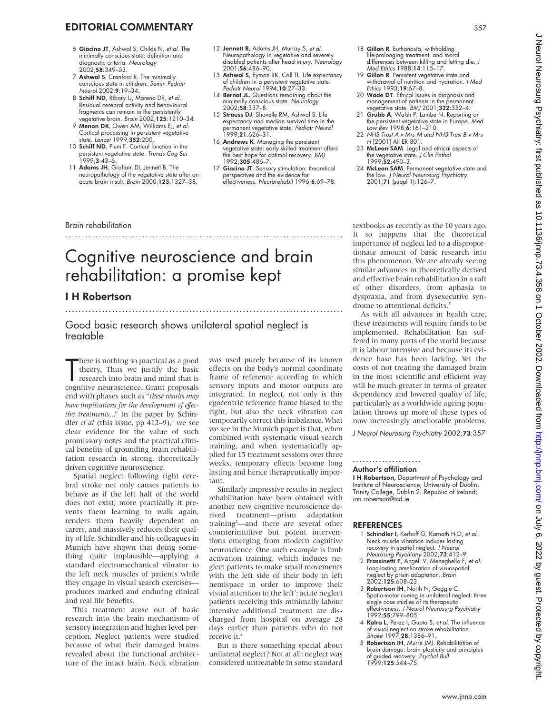## EDITORIAL COMMENTARY <sup>357</sup>

- 6 Giacino JT, Ashwal S, Childs N, et al. The minimally conscious state: definition and diagnostic criteria. Neurology 2002;58:349–53.
- 7 Ashwal S, Cranford R. The minimally conscious state in children. Semin Pediatr Neurol 2002;9:19–34.
- 8 Schiff ND, Ribary U, Moreno DR, et al. Residual cerebral activity and behavioural fragments can remain in the persistently vegetative brain. Brain 2002;125:1210–34.
- 9 Menon DK, Owen AM, Williams EJ, et al. Cortical processing in persistent vegetative state. Lancet 1999;352:200.
- 10 Schiff ND, Plum F. Cortical function in the persistent vegetative state. Trends Cog Sci 1999;3:43–6.
- 11 Adams JH, Graham DI, Jennett B. The neuropathology of the vegetative state after an acute brain insult. Brain 2000;123:1327–38.
- 12 Jennett B, Adams JH, Murray S, et al. Neuropathology in vegetative and severely disabled patients after head injury. Neurology 2001;56:486–90.
- 13 Ashwal S, Eyman RK, Call TL. Life expectancy of children in a persistent vegetative state. Pediatr Neurol 1994;10:27–33.
- 14 Bernat JL. Questions remaining about the minimally conscious state. Ne*urology*<br>2002;**58**:337–8.
- 15 Strauss DJ, Shavelle RM, Ashwal S. Life expectancy and median survival time in the permanent vegetative state. Pediatr Neurol  $1999;$ **21**:626–31.
- 16 Andrews K. Managing the persistent vegetative state: early skilled treatment offers the best hope for optimal recovery. BMJ 1992;305:486–7.
- 17 Giacino JT. Sensory stimulation: theoretical perspectives and the evidence for effectiveness. Neurorehabil 1996;6:69–78.
- 18 Gillon R. Euthanasia, withholding life-prolonging treatment, and moral differences between killing and letting die. J Med Ethics 1988;14:115–17.
- 19 Gillon R. Persistent vegetative state and withdrawal of nutrition and hydration. J Med Ethics 1993;19:67–8.
- 20 Wade DT. Ethical issues in diagnosis and management of patients in the permanent vegetative state. BMJ 2001;322:352–4.
- 21 Grubb A, Walsh P, Lambe N. Reporting on the persistent vegetative state in Europe. Med Law Rev 1998;6:161–210.
- 22 NHS Trust A <sup>v</sup> Mrs M and NHS Trust B <sup>v</sup> Mrs H [2001] All ER 801.
- 23 McLean SAM. Legal and ethical aspects of the vegetative state. *J Clin Pathol* 1999;52:490–3.
- 24 McLean SAM. Permanent vegetative state and the law. J Neurol Neurosurg Psychiatry 2001;71 (suppl 1):126–7.

#### Brain rehabilitation

# Cognitive neuroscience and brain rehabilitation: a promise kept

...................................................................................

### I H Robertson

...................................................................................

## Good basic research shows unilateral spatial neglect is treatable

There is nothing so practical as a good<br>theory. Thus we justify the basic<br>research into brain and mind that is<br>cognitive neuroscience. Grant proposals here is nothing so practical as a good theory. Thus we justify the basic research into brain and mind that is end with phases such as "*these results may have implications for the development of effective treatments*..." In the paper by Schindler *et al* (this issue, pp  $412-9$ ),<sup>1</sup> we see clear evidence for the value of such promissory notes and the practical clinical benefits of grounding brain rehabilitation research in strong, theoretically driven cognitive neuroscience.

Spatial neglect following right cerebral stroke not only causes patients to behave as if the left half of the world does not exist; more practically it prevents them learning to walk again, renders them heavily dependent on carers, and massively reduces their quality of life. Schindler and his colleagues in Munich have shown that doing something quite implausible—applying a standard electromechanical vibrator to the left neck muscles of patients while they engage in visual search exercises produces marked and enduring clinical and real life benefits.

This treatment arose out of basic research into the brain mechanisms of sensory integration and higher level perception. Neglect patients were studied because of what their damaged brains revealed about the functional architecture of the intact brain. Neck vibration

was used purely because of its known effects on the body's normal coordinate frame of reference according to which sensory inputs and motor outputs are integrated. In neglect, not only is this egocentric reference frame biased to the right, but also the neck vibration can temporarily correct this imbalance. What we see in the Munich paper is that, when combined with systematic visual search training, and when systematically applied for 15 treatment sessions over three weeks, temporary effects become long lasting and hence therapeutically important.

Similarly impressive results in neglect rehabilitation have been obtained with another new cognitive neuroscience derived treatment—prism adaptation training<sup>2</sup>—and there are several other counterintuitive but potent interventions emerging from modern cognitive neuroscience. One such example is limb activation training, which induces neglect patients to make small movements with the left side of their body in left hemispace in order to improve their visual attention to the left<sup>3</sup>: acute neglect patients receiving this minimally labour intensive additional treatment are discharged from hospital on average 28 days earlier than patients who do not receive it.<sup>4</sup>

But is there something special about unilateral neglect? Not at all: neglect was considered untreatable in some standard

textbooks as recently as the 10 years ago. It so happens that the theoretical importance of neglect led to a disproportionate amount of basic research into this phenomenon. We are already seeing similar advances in theoretically derived and effective brain rehabilitation in a raft of other disorders, from aphasia to dyspraxia, and from dysexecutive syndrome to attentional deficits.<sup>5</sup>

As with all advances in health care, these treatments will require funds to be implemented. Rehabilitation has suffered in many parts of the world because it is labour intensive and because its evidence base has been lacking. Yet the costs of not treating the damaged brain in the most scientific and efficient way will be much greater in terms of greater dependency and lowered quality of life, particularly as a worldwide ageing population throws up more of these types of now increasingly ameliorable problems.

J Neurol Neurosurg Psychiatry 2002;73:357

#### .....................

#### Author's affiliation

I H Robertson, Department of Psychology and Institute of Neuroscience, University of Dublin, Trinity College, Dublin 2, Republic of Ireland; ian.robertson@tcd.ie

#### REFERENCES

- 1 Schindler I, Kerhoff G, Karnath H-O, et al. Neck muscle vibration induces lasting recovery in spatial neglect. J Neurol Neurosurg Psychiatry 2002;73:412–9.
- 2 Frassinetti F, Angeli V, Meneghello F, et al. Long-lasting amelioration of visuospatial neglect by prism adaptation. Brain 2002;125:608–23.
- 3 Robertson IH, North N, Geggie C. Spatio-motor cueing in unilateral neglect: three single case studies of its therapeutic effectiveness. J Neurol Neurosurg Psychiatry 1992;55:799–805.
- 4 Kalra L, Perez I, Gupta S, et al. The influence of visual neglect on stroke rehabilitation.<br>*Stroke* 1997;**28**:1386–91.
- 5 Robertson IH, Murre JMJ. Rehabilitation of brain damage: brain plasticity and principles of guided recovery. *Psychol Bull*<br>1999;**125**:544–75.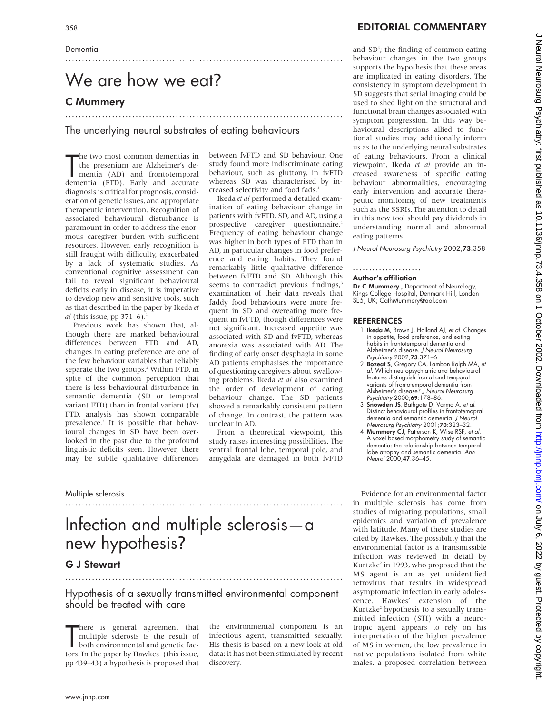#### **Dementia**

## We are how we eat?

## C Mummery

## The underlying neural substrates of eating behaviours

...................................................................................

...................................................................................

The two most common dementias in<br>the presenium are Alzheimer's de-<br>mentia (AD) and frontotemporal<br>dementia (FTD). Early and accurate he two most common dementias in the presenium are Alzheimer's dementia (AD) and frontotemporal diagnosis is critical for prognosis, consideration of genetic issues, and appropriate therapeutic intervention. Recognition of associated behavioural disturbance is paramount in order to address the enormous caregiver burden with sufficient resources. However, early recognition is still fraught with difficulty, exacerbated by a lack of systematic studies. As conventional cognitive assessment can fail to reveal significant behavioural deficits early in disease, it is imperative to develop new and sensitive tools, such as that described in the paper by Ikeda *et al* (this issue, pp 371–6).<sup>1</sup>

Previous work has shown that, although there are marked behavioural differences between FTD and AD, changes in eating preference are one of the few behaviour variables that reliably separate the two groups.<sup>2</sup> Within FTD, in spite of the common perception that there is less behavioural disturbance in semantic dementia (SD or temporal variant FTD) than in frontal variant (fv) FTD, analysis has shown comparable prevalence.<sup>2</sup> It is possible that behavioural changes in SD have been overlooked in the past due to the profound linguistic deficits seen. However, there may be subtle qualitative differences

between fvFTD and SD behaviour. One study found more indiscriminate eating behaviour, such as gluttony, in fvFTD whereas SD was characterised by increased selectivity and food fads.<sup>3</sup>

Ikeda *et al* performed a detailed examination of eating behaviour change in patients with fvFTD, SD, and AD, using a prospective caregiver questionnaire.<sup>1</sup> Frequency of eating behaviour change was higher in both types of FTD than in AD, in particular changes in food preference and eating habits. They found remarkably little qualitative difference between fvFTD and SD. Although this seems to contradict previous findings,<sup>3</sup> examination of their data reveals that faddy food behaviours were more frequent in SD and overeating more frequent in fvFTD, though differences were not significant. Increased appetite was associated with SD and fvFTD, whereas anorexia was associated with AD. The finding of early onset dysphagia in some AD patients emphasises the importance of questioning caregivers about swallowing problems. Ikeda *et al* also examined the order of development of eating behaviour change. The SD patients showed a remarkably consistent pattern of change. In contrast, the pattern was unclear in AD.

From a theoretical viewpoint, this study raises interesting possibilities. The ventral frontal lobe, temporal pole, and amygdala are damaged in both fvFTD

## <sup>358</sup> EDITORIAL COMMENTARY

and SD<sup>4</sup>; the finding of common eating behaviour changes in the two groups supports the hypothesis that these areas are implicated in eating disorders. The consistency in symptom development in SD suggests that serial imaging could be used to shed light on the structural and functional brain changes associated with symptom progression. In this way behavioural descriptions allied to functional studies may additionally inform us as to the underlying neural substrates of eating behaviours. From a clinical viewpoint, Ikeda *et al* provide an increased awareness of specific eating behaviour abnormalities, encouraging early intervention and accurate therapeutic monitoring of new treatments such as the SSRIs. The attention to detail in this new tool should pay dividends in understanding normal and abnormal eating patterns.

J Neurol Neurosurg Psychiatry 2002;73:358

## .....................

## Author's affiliation

Dr C Mummery , Department of Neurology, Kings College Hospital, Denmark Hill, London SE5, UK; CathMummery@aol.com

#### REFERENCES

- 1 Ikeda M, Brown J, Holland AJ, et al. Changes in appetite, food preference, and eating habits in frontotemporal dementia and Alzheimer's disease. J Neurol Neurosurg Psychiatry 2002;73:371–6.
- 2 Bozeat S, Gregory CA, Lambon Ralph MA, et al. Which neuropsychiatric and behavioural features distinguish frontal and temporal variants of frontotemporal dementia from Alxheimer's disease? J Neurol Neurosurg<br>Psychiatry 2000;**69**:178–86.
- 3 Snowden JS, Bathgate D, Varma A, et al. Distinct behavioural profiles in frontotemopral dementia and semantic dementia. J Neurol Neurosurg Psychiatry 2001;70:323–32.
- 4 Mummery CJ, Patterson K, Wise RSF, et al. A voxel based morphometry study of semantic dementia: the relationship between temporal lobe atrophy and semantic dementia. Ann Neurol 2000;47:36-45.

#### Multiple sclerosis

# Infection and multiple sclerosis—a new hypothesis?

## G J Stewart

Hypothesis of a sexually transmitted environmental component should be treated with care

...................................................................................

...................................................................................

There is general agreement that<br>multiple sclerosis is the result of<br>both environmental and genetic fac-<br>tors. In the paper by Hawkes<sup>1</sup> (this issue, here is general agreement that multiple sclerosis is the result of both environmental and genetic facpp 439–43) a hypothesis is proposed that

the environmental component is an infectious agent, transmitted sexually. His thesis is based on a new look at old data; it has not been stimulated by recent discovery.

Evidence for an environmental factor in multiple sclerosis has come from studies of migrating populations, small epidemics and variation of prevalence with latitude. Many of these studies are cited by Hawkes. The possibility that the environmental factor is a transmissible infection was reviewed in detail by Kurtzke<sup>2</sup> in 1993, who proposed that the MS agent is an as yet unidentified retrovirus that results in widespread asymptomatic infection in early adolescence. Hawkes' extension of the Kurtzke<sup>2</sup> hypothesis to a sexually transmitted infection (STI) with a neurotropic agent appears to rely on his interpretation of the higher prevalence of MS in women, the low prevalence in native populations isolated from white males, a proposed correlation between